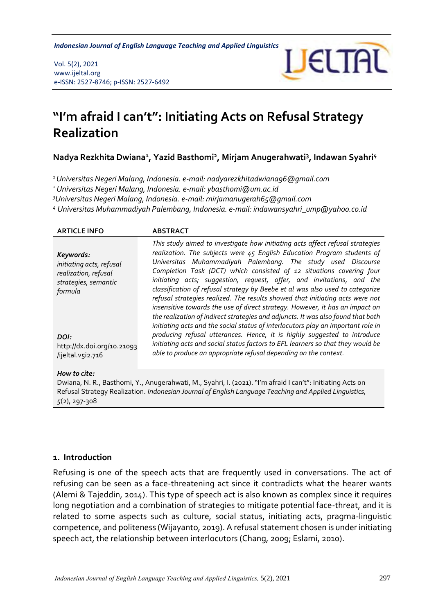**Indonesian Journal of English Language Teaching and Applied Linguistics** 

Vol. 5(2), 2021 www.ijeltal.org e-ISSN: 2527-8746; p-ISSN: 2527-6492



# **"I'm afraid I can't": Initiating Acts on Refusal Strategy Realization**

**Nadya Rezkhita Dwiana<sup>1</sup> , Yazid Basthomi<sup>2</sup> , Mirjam Anugerahwati<sup>3</sup> , Indawan Syahri<sup>4</sup>**

*<sup>1</sup>Universitas Negeri Malang, Indonesia. e-mail: nadyarezkhitadwiana96@gmail.com*

*<sup>2</sup>Universitas Negeri Malang, Indonesia. e-mail: ybasthomi@um.ac.id*

*<sup>3</sup>Universitas Negeri Malang, Indonesia. e-mail: mirjamanugerah65@gmail.com*

*<sup>4</sup> Universitas Muhammadiyah Palembang, Indonesia. e-mail: indawansyahri\_ump@yahoo.co.id*

| <b>ARTICLE INFO</b>                                                                                      | <b>ABSTRACT</b>                                                                                                                                                                                                                                                                                                                                                                                                                                                                                                                                                                                                                                                                                                                                                                                                                                                                 |
|----------------------------------------------------------------------------------------------------------|---------------------------------------------------------------------------------------------------------------------------------------------------------------------------------------------------------------------------------------------------------------------------------------------------------------------------------------------------------------------------------------------------------------------------------------------------------------------------------------------------------------------------------------------------------------------------------------------------------------------------------------------------------------------------------------------------------------------------------------------------------------------------------------------------------------------------------------------------------------------------------|
| Keywords:<br>initiating acts, refusal<br>realization, refusal<br>strategies, semantic<br>formula<br>DOI: | This study aimed to investigate how initiating acts affect refusal strategies<br>realization. The subjects were 45 English Education Program students of<br>Universitas Muhammadiyah Palembang. The study used Discourse<br>Completion Task (DCT) which consisted of 12 situations covering four<br>initiating acts; suggestion, request, offer, and invitations, and the<br>classification of refusal strategy by Beebe et al was also used to categorize<br>refusal strategies realized. The results showed that initiating acts were not<br>insensitive towards the use of direct strategy. However, it has an impact on<br>the realization of indirect strategies and adjuncts. It was also found that both<br>initiating acts and the social status of interlocutors play an important role in<br>producing refusal utterances. Hence, it is highly suggested to introduce |
| http://dx.doi.org/10.21093                                                                               | initiating acts and social status factors to EFL learners so that they would be                                                                                                                                                                                                                                                                                                                                                                                                                                                                                                                                                                                                                                                                                                                                                                                                 |
| /ijeltal.v5i2.716                                                                                        | able to produce an appropriate refusal depending on the context.                                                                                                                                                                                                                                                                                                                                                                                                                                                                                                                                                                                                                                                                                                                                                                                                                |
| How to cite:                                                                                             |                                                                                                                                                                                                                                                                                                                                                                                                                                                                                                                                                                                                                                                                                                                                                                                                                                                                                 |

Dwiana, N. R., Basthomi, Y., Anugerahwati, M., Syahri, I. (2021). "I'm afraid I can't": Initiating Acts on Refusal Strategy Realization. *Indonesian Journal of English Language Teaching and Applied Linguistics, 5*(2), 297-308

#### **1. Introduction**

Refusing is one of the speech acts that are frequently used in conversations. The act of refusing can be seen as a face-threatening act since it contradicts what the hearer wants (Alemi & Tajeddin, 2014). This type of speech act is also known as complex since it requires long negotiation and a combination of strategies to mitigate potential face-threat, and it is related to some aspects such as culture, social status, initiating acts, pragma-linguistic competence, and politeness (Wijayanto, 2019). A refusal statement chosen is under initiating speech act, the relationship between interlocutors (Chang, 2009; Eslami, 2010).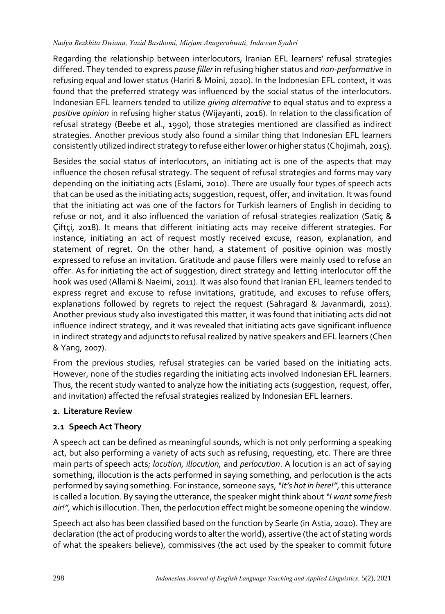#### *Nadya Rezkhita Dwiana, Yazid Basthomi, Mirjam Anugerahwati, Indawan Syahri*

Regarding the relationship between interlocutors, Iranian EFL learners' refusal strategies differed. They tended to express *pause filler* in refusing higher status and *non-performative* in refusing equal and lower status (Hariri & Moini, 2020). In the Indonesian EFL context, it was found that the preferred strategy was influenced by the social status of the interlocutors. Indonesian EFL learners tended to utilize *giving alternative* to equal status and to express a *positive opinion* in refusing higher status (Wijayanti, 2016). In relation to the classification of refusal strategy (Beebe et al., 1990), those strategies mentioned are classified as indirect strategies. Another previous study also found a similar thing that Indonesian EFL learners consistently utilized indirect strategy to refuse either lower or higher status (Chojimah, 2015).

Besides the social status of interlocutors, an initiating act is one of the aspects that may influence the chosen refusal strategy. The sequent of refusal strategies and forms may vary depending on the initiating acts (Eslami, 2010). There are usually four types of speech acts that can be used as the initiating acts; suggestion, request, offer, and invitation. It was found that the initiating act was one of the factors for Turkish learners of English in deciding to refuse or not, and it also influenced the variation of refusal strategies realization (Satiç & Çiftçi, 2018). It means that different initiating acts may receive different strategies. For instance, initiating an act of request mostly received excuse, reason, explanation, and statement of regret. On the other hand, a statement of positive opinion was mostly expressed to refuse an invitation. Gratitude and pause fillers were mainly used to refuse an offer. As for initiating the act of suggestion, direct strategy and letting interlocutor off the hook was used (Allami & Naeimi, 2011). It was also found that Iranian EFL learners tended to express regret and excuse to refuse invitations, gratitude, and excuses to refuse offers, explanations followed by regrets to reject the request (Sahragard & Javanmardi, 2011). Another previous study also investigated this matter, it was found that initiating acts did not influence indirect strategy, and it was revealed that initiating acts gave significant influence in indirect strategy and adjuncts to refusal realized by native speakers and EFL learners (Chen & Yang, 2007).

From the previous studies, refusal strategies can be varied based on the initiating acts. However, none of the studies regarding the initiating acts involved Indonesian EFL learners. Thus, the recent study wanted to analyze how the initiating acts (suggestion, request, offer, and invitation) affected the refusal strategies realized by Indonesian EFL learners.

## **2. Literature Review**

# **2.1 Speech Act Theory**

A speech act can be defined as meaningful sounds, which is not only performing a speaking act, but also performing a variety of acts such as refusing, requesting, etc. There are three main parts of speech acts; *locution, illocution,* and *perlocution*. A locution is an act of saying something, illocution is the acts performed in saying something, and perlocution is the acts performed by saying something. For instance, someone says,*"It's hot in here!"*, this utterance is called a locution. By saying the utterance, the speaker might think about *"I want some fresh air!",* which is illocution. Then, the perlocution effect might be someone opening the window.

Speech act also has been classified based on the function by Searle (in Astia, 2020). They are declaration (the act of producing words to alter the world), assertive (the act of stating words of what the speakers believe), commissives (the act used by the speaker to commit future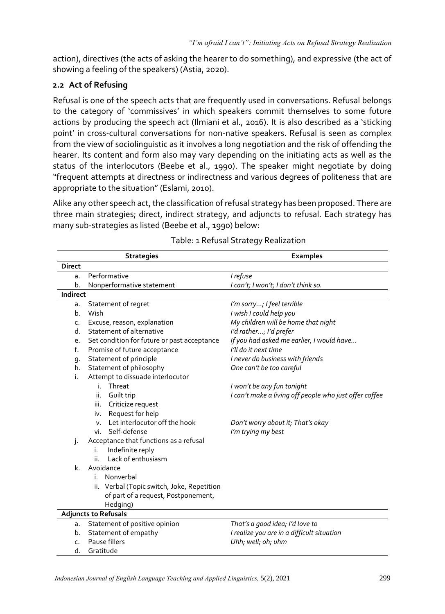action), directives (the acts of asking the hearer to do something), and expressive (the act of showing a feeling of the speakers) (Astia, 2020).

#### **2.2 Act of Refusing**

Refusal is one of the speech acts that are frequently used in conversations. Refusal belongs to the category of 'commissives' in which speakers commit themselves to some future actions by producing the speech act (Ilmiani et al., 2016). It is also described as a 'sticking point' in cross-cultural conversations for non-native speakers. Refusal is seen as complex from the view of sociolinguistic as it involves a long negotiation and the risk of offending the hearer. Its content and form also may vary depending on the initiating acts as well as the status of the interlocutors (Beebe et al., 1990). The speaker might negotiate by doing "frequent attempts at directness or indirectness and various degrees of politeness that are appropriate to the situation" (Eslami, 2010).

Alike any other speech act, the classification of refusal strategy has been proposed. There are three main strategies; direct, indirect strategy, and adjuncts to refusal. Each strategy has many sub-strategies as listed (Beebe et al., 1990) below:

|                | <b>Strategies</b>                               | <b>Examples</b>                                        |
|----------------|-------------------------------------------------|--------------------------------------------------------|
| <b>Direct</b>  |                                                 |                                                        |
| a.             | Performative                                    | I refuse                                               |
| b.             | Nonperformative statement                       | I can't; I won't; I don't think so.                    |
| Indirect       |                                                 |                                                        |
| a.             | Statement of regret                             | I'm sorry; I feel terrible                             |
| b.             | Wish                                            | I wish I could help you                                |
| $\mathsf{C}$ . | Excuse, reason, explanation                     | My children will be home that night                    |
| d.             | Statement of alternative                        | I'd rather; I'd prefer                                 |
| e.             | Set condition for future or past acceptance     | If you had asked me earlier, I would have              |
| f.             | Promise of future acceptance                    | I'll do it next time                                   |
| g.             | Statement of principle                          | I never do business with friends                       |
| h.             | Statement of philosophy                         | One can't be too careful                               |
| i.             | Attempt to dissuade interlocutor                |                                                        |
|                | Threat<br>i.                                    | I won't be any fun tonight                             |
|                | Guilt trip<br>ii.                               | I can't make a living off people who just offer coffee |
|                | Criticize request<br>iii.                       |                                                        |
|                | Request for help<br>iv.                         |                                                        |
|                | Let interlocutor off the hook<br>$V_{\rm{eff}}$ | Don't worry about it; That's okay                      |
|                | Self-defense<br>vi.                             | I'm trying my best                                     |
| j.             | Acceptance that functions as a refusal          |                                                        |
|                | Indefinite reply<br>i.                          |                                                        |
|                | Lack of enthusiasm<br>ii.                       |                                                        |
| $\mathsf{k}$ . | Avoidance                                       |                                                        |
|                | i. Nonverbal                                    |                                                        |
|                | ii. Verbal (Topic switch, Joke, Repetition      |                                                        |
|                | of part of a request, Postponement,             |                                                        |
|                | Hedging)                                        |                                                        |
|                | <b>Adjuncts to Refusals</b>                     |                                                        |
| a.             | Statement of positive opinion                   | That's a good idea; I'd love to                        |
| b.             | Statement of empathy                            | I realize you are in a difficult situation             |
| c.             | Pause fillers                                   | Uhh; well; oh; uhm                                     |
| d.             | Gratitude                                       |                                                        |

Table: 1 Refusal Strategy Realization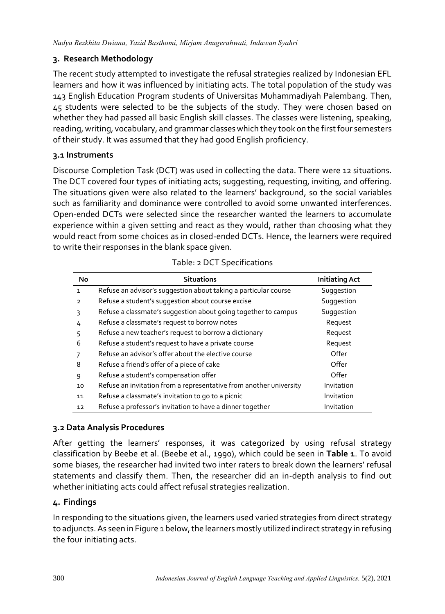## **3. Research Methodology**

The recent study attempted to investigate the refusal strategies realized by Indonesian EFL learners and how it was influenced by initiating acts. The total population of the study was 143 English Education Program students of Universitas Muhammadiyah Palembang. Then, 45 students were selected to be the subjects of the study. They were chosen based on whether they had passed all basic English skill classes. The classes were listening, speaking, reading, writing, vocabulary, and grammar classes which they took on the first four semesters of their study. It was assumed that they had good English proficiency.

#### **3.1 Instruments**

Discourse Completion Task (DCT) was used in collecting the data. There were 12 situations. The DCT covered four types of initiating acts; suggesting, requesting, inviting, and offering. The situations given were also related to the learners' background, so the social variables such as familiarity and dominance were controlled to avoid some unwanted interferences. Open-ended DCTs were selected since the researcher wanted the learners to accumulate experience within a given setting and react as they would, rather than choosing what they would react from some choices as in closed-ended DCTs. Hence, the learners were required to write their responses in the blank space given.

| No             | <b>Situations</b>                                                  | <b>Initiating Act</b> |
|----------------|--------------------------------------------------------------------|-----------------------|
| $\mathbf{1}$   | Refuse an advisor's suggestion about taking a particular course    | Suggestion            |
| $\overline{2}$ | Refuse a student's suggestion about course excise                  | Suggestion            |
| 3              | Refuse a classmate's suggestion about going together to campus     | Suggestion            |
| 4              | Refuse a classmate's request to borrow notes                       | Request               |
| 5              | Refuse a new teacher's request to borrow a dictionary              | Request               |
| 6              | Refuse a student's request to have a private course                | Request               |
|                | Refuse an advisor's offer about the elective course                | Offer                 |
| 8              | Refuse a friend's offer of a piece of cake                         | Offer                 |
| 9              | Refuse a student's compensation offer                              | Offer                 |
| 10             | Refuse an invitation from a representative from another university | Invitation            |
| 11             | Refuse a classmate's invitation to go to a picnic                  | Invitation            |
| 12             | Refuse a professor's invitation to have a dinner together          | Invitation            |

## **3.2 Data Analysis Procedures**

After getting the learners' responses, it was categorized by using refusal strategy classification by Beebe et al. (Beebe et al., 1990), which could be seen in **Table 1**. To avoid some biases, the researcher had invited two inter raters to break down the learners' refusal statements and classify them. Then, the researcher did an in-depth analysis to find out whether initiating acts could affect refusal strategies realization.

## **4. Findings**

In responding to the situations given, the learners used varied strategies from direct strategy to adjuncts. As seen in Figure 1 below, the learners mostly utilized indirect strategy in refusing the four initiating acts.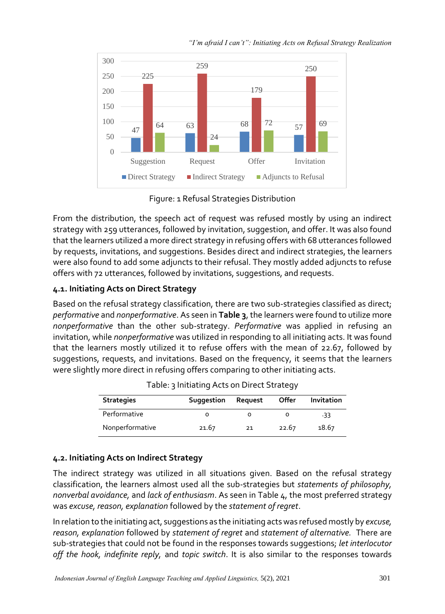



Figure: 1 Refusal Strategies Distribution

From the distribution, the speech act of request was refused mostly by using an indirect strategy with 259 utterances, followed by invitation, suggestion, and offer. It was also found that the learners utilized a more direct strategy in refusing offers with 68 utterances followed by requests, invitations, and suggestions. Besides direct and indirect strategies, the learners were also found to add some adjuncts to their refusal. They mostly added adjuncts to refuse offers with 72 utterances, followed by invitations, suggestions, and requests.

## **4.1. Initiating Acts on Direct Strategy**

Based on the refusal strategy classification, there are two sub-strategies classified as direct; *performative* and *nonperformative*. As seen in **Table 3**, the learners were found to utilize more *nonperformative* than the other sub-strategy. *Performative* was applied in refusing an invitation, while *nonperformative* was utilized in responding to all initiating acts. It was found that the learners mostly utilized it to refuse offers with the mean of 22.67, followed by suggestions, requests, and invitations. Based on the frequency, it seems that the learners were slightly more direct in refusing offers comparing to other initiating acts.

| <b>Strategies</b> | Suggestion | Request | Offer | Invitation |
|-------------------|------------|---------|-------|------------|
| Performative      |            |         |       | -33        |
| Nonperformative   | 21.67      | 21      | 22.67 | 18.67      |

| Table: 3 Initiating Acts on Direct Strategy |  |  |
|---------------------------------------------|--|--|
|                                             |  |  |

## **4.2. Initiating Acts on Indirect Strategy**

The indirect strategy was utilized in all situations given. Based on the refusal strategy classification, the learners almost used all the sub-strategies but *statements of philosophy, nonverbal avoidance,* and *lack of enthusiasm*. As seen in Table 4, the most preferred strategy was *excuse, reason, explanation* followed by the *statement of regret*.

In relation to the initiating act, suggestions as the initiating acts was refused mostly by *excuse, reason, explanation* followed by *statement of regret* and *statement of alternative.* There are sub-strategies that could not be found in the responses towards suggestions; *let interlocutor off the hook, indefinite reply,* and *topic switch*. It is also similar to the responses towards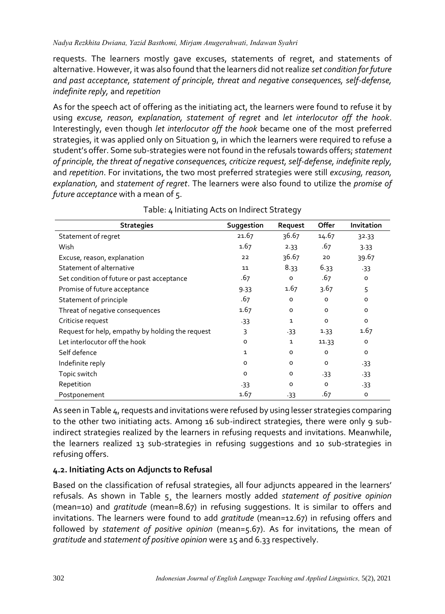requests. The learners mostly gave excuses, statements of regret, and statements of alternative. However, it was also found that the learners did not realize *set condition for future and past acceptance, statement of principle, threat and negative consequences, self-defense, indefinite reply,* and *repetition*

As for the speech act of offering as the initiating act, the learners were found to refuse it by using *excuse, reason, explanation, statement of regret* and *let interlocutor off the hook*. Interestingly, even though *let interlocutor off the hook* became one of the most preferred strategies, it was applied only on Situation 9, in which the learners were required to refuse a student's offer. Some sub-strategies were not found in the refusals towards offers; *statement of principle, the threat of negative consequences, criticize request, self-defense, indefinite reply,* and *repetition*. For invitations, the two most preferred strategies were still *excusing, reason, explanation,* and *statement of regret*. The learners were also found to utilize the *promise of future acceptance* with a mean of 5.

| <b>Strategies</b>                                | Suggestion   | Request      | Offer   | Invitation |
|--------------------------------------------------|--------------|--------------|---------|------------|
| Statement of regret                              | 21.67        | 36.67        | 14.67   | 32.33      |
| Wish                                             | 1.67         | 2.33         | .67     | 3.33       |
| Excuse, reason, explanation                      | 22           | 36.67        | 20      | 39.67      |
| Statement of alternative                         | 11           | 8.33         | 6.33    | $-33$      |
| Set condition of future or past acceptance       | .67          | $\circ$      | .67     | $\circ$    |
| Promise of future acceptance                     | 9.33         | 1.67         | 3.67    | 5          |
| Statement of principle                           | .67          | O            | 0       | o          |
| Threat of negative consequences                  | 1.67         | $\circ$      | $\circ$ | $\circ$    |
| Criticise request                                | $-33$        | $\mathbf{1}$ | $\circ$ | O          |
| Request for help, empathy by holding the request | 3            | $-33$        | 1.33    | 1.67       |
| Let interlocutor off the hook                    | $\circ$      | 1            | 11.33   | O          |
| Self defence                                     | $\mathbf{1}$ | O            | $\circ$ | $\circ$    |
| Indefinite reply                                 | 0            | O            | O       | $-33$      |
| Topic switch                                     | o            | $\circ$      | $-33$   | $-33$      |
| Repetition                                       | $-33$        | $\circ$      | O       | $-33$      |
| Postponement                                     | 1.67         | $-33$        | .67     | о          |

Table: 4 Initiating Acts on Indirect Strategy

As seen in Table 4, requests and invitations were refused by using lesser strategies comparing to the other two initiating acts. Among 16 sub-indirect strategies, there were only 9 subindirect strategies realized by the learners in refusing requests and invitations. Meanwhile, the learners realized 13 sub-strategies in refusing suggestions and 10 sub-strategies in refusing offers.

## **4.2. Initiating Acts on Adjuncts to Refusal**

Based on the classification of refusal strategies, all four adjuncts appeared in the learners' refusals. As shown in Table 5¸ the learners mostly added *statement of positive opinion*  (mean=10) and *gratitude* (mean=8.67) in refusing suggestions. It is similar to offers and invitations. The learners were found to add *gratitude* (mean=12.67) in refusing offers and followed by *statement of positive opinion* (mean=5.67). As for invitations, the mean of *gratitude* and *statement of positive opinion* were 15 and 6.33 respectively.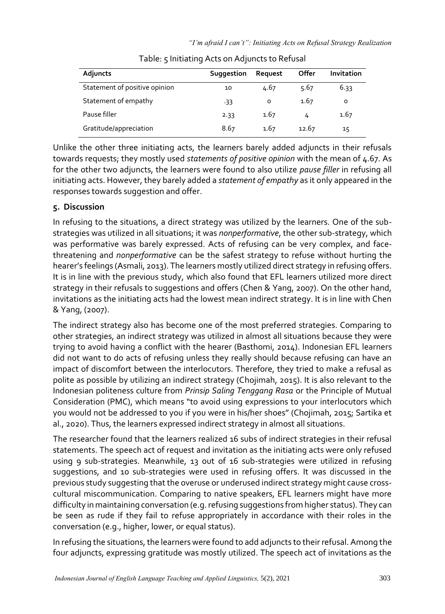| Adjuncts                      | Suggestion | Request | Offer | Invitation |
|-------------------------------|------------|---------|-------|------------|
| Statement of positive opinion | 10         | 4.67    | 5.67  | 6.33       |
| Statement of empathy          | $-33$      | O       | 1.67  | 0          |
| Pause filler                  | 2.33       | 1.67    | 4     | 1.67       |
| Gratitude/appreciation        | 8.67       | 1.67    | 12.67 | 15         |

| Table: 5 Initiating Acts on Adjuncts to Refusal |  |  |
|-------------------------------------------------|--|--|
|-------------------------------------------------|--|--|

Unlike the other three initiating acts, the learners barely added adjuncts in their refusals towards requests; they mostly used *statements of positive opinion* with the mean of 4.67. As for the other two adjuncts, the learners were found to also utilize *pause filler* in refusing all initiating acts. However, they barely added a *statement of empathy* as it only appeared in the responses towards suggestion and offer.

# **5. Discussion**

In refusing to the situations, a direct strategy was utilized by the learners. One of the substrategies was utilized in all situations; it was *nonperformative*, the other sub-strategy, which was performative was barely expressed. Acts of refusing can be very complex, and facethreatening and *nonperformative* can be the safest strategy to refuse without hurting the hearer's feelings (Asmali, 2013). The learners mostly utilized direct strategy in refusing offers. It is in line with the previous study, which also found that EFL learners utilized more direct strategy in their refusals to suggestions and offers (Chen & Yang, 2007). On the other hand, invitations as the initiating acts had the lowest mean indirect strategy. It is in line with Chen & Yang, (2007).

The indirect strategy also has become one of the most preferred strategies. Comparing to other strategies, an indirect strategy was utilized in almost all situations because they were trying to avoid having a conflict with the hearer (Basthomi, 2014). Indonesian EFL learners did not want to do acts of refusing unless they really should because refusing can have an impact of discomfort between the interlocutors. Therefore, they tried to make a refusal as polite as possible by utilizing an indirect strategy (Chojimah, 2015). It is also relevant to the Indonesian politeness culture from *Prinsip Saling Tenggang Rasa* or the Principle of Mutual Consideration (PMC), which means "to avoid using expressions to your interlocutors which you would not be addressed to you if you were in his/her shoes" (Chojimah, 2015; Sartika et al., 2020). Thus, the learners expressed indirect strategy in almost all situations.

The researcher found that the learners realized 16 subs of indirect strategies in their refusal statements. The speech act of request and invitation as the initiating acts were only refused using 9 sub-strategies. Meanwhile, 13 out of 16 sub-strategies were utilized in refusing suggestions, and 10 sub-strategies were used in refusing offers. It was discussed in the previous study suggesting that the overuse or underused indirect strategy might cause crosscultural miscommunication. Comparing to native speakers, EFL learners might have more difficulty in maintaining conversation (e.g. refusing suggestions from higher status). They can be seen as rude if they fail to refuse appropriately in accordance with their roles in the conversation (e.g., higher, lower, or equal status).

In refusing the situations, the learners were found to add adjuncts to their refusal. Among the four adjuncts, expressing gratitude was mostly utilized. The speech act of invitations as the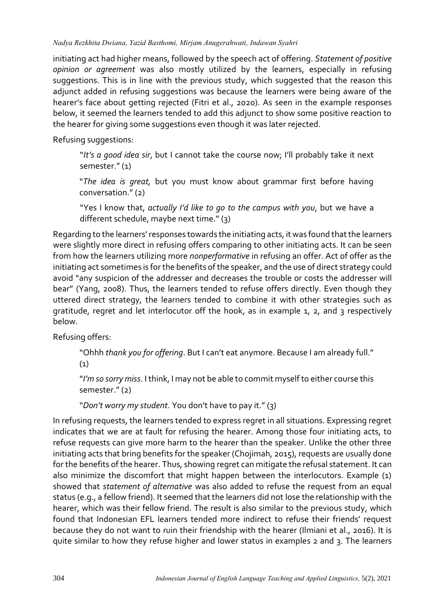#### *Nadya Rezkhita Dwiana, Yazid Basthomi, Mirjam Anugerahwati, Indawan Syahri*

initiating act had higher means, followed by the speech act of offering. *Statement of positive opinion or agreement* was also mostly utilized by the learners, especially in refusing suggestions. This is in line with the previous study, which suggested that the reason this adjunct added in refusing suggestions was because the learners were being aware of the hearer's face about getting rejected (Fitri et al., 2020). As seen in the example responses below, it seemed the learners tended to add this adjunct to show some positive reaction to the hearer for giving some suggestions even though it was later rejected.

Refusing suggestions:

"*It's a good idea sir*, but I cannot take the course now; I'll probably take it next semester." (1)

"*The idea is great,* but you must know about grammar first before having conversation." (2)

"Yes I know that, *actually I'd like to go to the campus with you*, but we have a different schedule, maybe next time." (3)

Regarding to the learners' responses towards the initiating acts, it was found that the learners were slightly more direct in refusing offers comparing to other initiating acts. It can be seen from how the learners utilizing more *nonperformative* in refusing an offer. Act of offer as the initiating act sometimes is for the benefits of the speaker, and the use of direct strategy could avoid "any suspicion of the addresser and decreases the trouble or costs the addresser will bear" (Yang, 2008). Thus, the learners tended to refuse offers directly. Even though they uttered direct strategy, the learners tended to combine it with other strategies such as gratitude, regret and let interlocutor off the hook, as in example 1, 2, and 3 respectively below.

Refusing offers:

"Ohhh *thank you for offering*. But I can't eat anymore. Because I am already full."

(1)

"*I'm so sorry miss*. I think, I may not be able to commit myself to either course this semester." (2)

"*Don't worry my student*. You don't have to pay it." (3)

In refusing requests, the learners tended to express regret in all situations. Expressing regret indicates that we are at fault for refusing the hearer. Among those four initiating acts, to refuse requests can give more harm to the hearer than the speaker. Unlike the other three initiating acts that bring benefits for the speaker (Chojimah, 2015), requests are usually done for the benefits of the hearer. Thus, showing regret can mitigate the refusal statement. It can also minimize the discomfort that might happen between the interlocutors. Example (1) showed that *statement of alternative* was also added to refuse the request from an equal status (e.g., a fellow friend). It seemed that the learners did not lose the relationship with the hearer, which was their fellow friend. The result is also similar to the previous study, which found that Indonesian EFL learners tended more indirect to refuse their friends' request because they do not want to ruin their friendship with the hearer (Ilmiani et al., 2016). It is quite similar to how they refuse higher and lower status in examples 2 and 3. The learners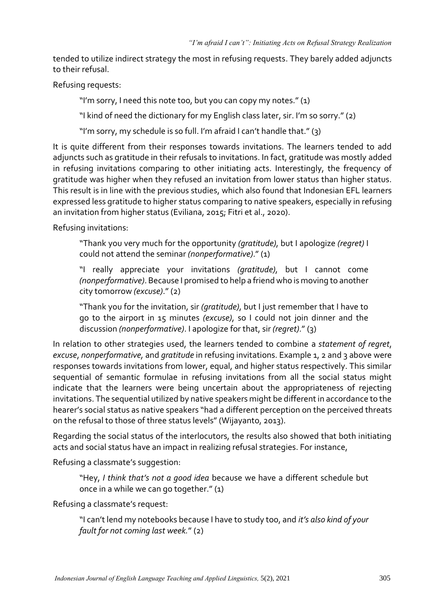tended to utilize indirect strategy the most in refusing requests. They barely added adjuncts to their refusal.

Refusing requests:

"I'm sorry, I need this note too, but you can copy my notes." (1)

"I kind of need the dictionary for my English class later, sir. I'm so sorry." (2)

"I'm sorry, my schedule is so full. I'm afraid I can't handle that." (3)

It is quite different from their responses towards invitations. The learners tended to add adjuncts such as gratitude in their refusals to invitations. In fact, gratitude was mostly added in refusing invitations comparing to other initiating acts. Interestingly, the frequency of gratitude was higher when they refused an invitation from lower status than higher status. This result is in line with the previous studies, which also found that Indonesian EFL learners expressed less gratitude to higher status comparing to native speakers, especially in refusing an invitation from higher status (Eviliana, 2015; Fitri et al., 2020).

Refusing invitations:

"Thank you very much for the opportunity *(gratitude)*, but I apologize *(regret)* I could not attend the seminar *(nonperformative)*." (1)

"I really appreciate your invitations *(gratitude)*, but I cannot come *(nonperformative)*. Because I promised to help a friend who is moving to another city tomorrow *(excuse)*." (2)

"Thank you for the invitation, sir *(gratitude)*, but I just remember that I have to go to the airport in 15 minutes *(excuse)*, so I could not join dinner and the discussion *(nonperformative)*. I apologize for that, sir *(regret)*." (3)

In relation to other strategies used, the learners tended to combine a *statement of regret*, *excuse*, *nonperformative,* and *gratitude* in refusing invitations. Example 1, 2 and 3 above were responses towards invitations from lower, equal, and higher status respectively. This similar sequential of semantic formulae in refusing invitations from all the social status might indicate that the learners were being uncertain about the appropriateness of rejecting invitations. The sequential utilized by native speakers might be different in accordance to the hearer's social status as native speakers "had a different perception on the perceived threats on the refusal to those of three status levels" (Wijayanto, 2013).

Regarding the social status of the interlocutors, the results also showed that both initiating acts and social status have an impact in realizing refusal strategies. For instance,

Refusing a classmate's suggestion:

"Hey, *I think that's not a good idea* because we have a different schedule but once in a while we can go together." (1)

Refusing a classmate's request:

"I can't lend my notebooks because I have to study too, and *it's also kind of your fault for not coming last week.*" (2)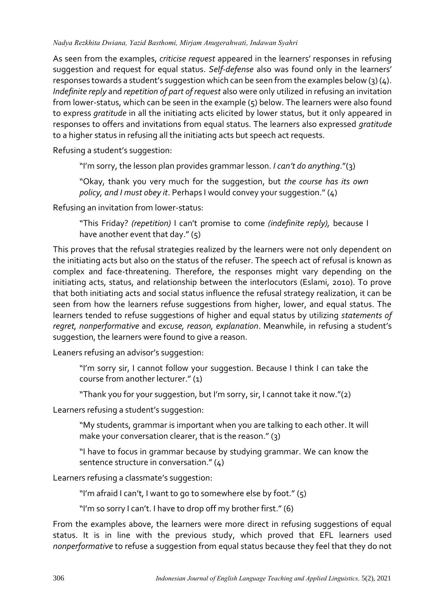#### *Nadya Rezkhita Dwiana, Yazid Basthomi, Mirjam Anugerahwati, Indawan Syahri*

As seen from the examples, *criticise request* appeared in the learners' responses in refusing suggestion and request for equal status. *Self-defense* also was found only in the learners' responses towards a student's suggestion which can be seen from the examples below (3)  $(4)$ . *Indefinite reply* and *repetition of part of request* also were only utilized in refusing an invitation from lower-status, which can be seen in the example (5) below. The learners were also found to express *gratitude* in all the initiating acts elicited by lower status, but it only appeared in responses to offers and invitations from equal status. The learners also expressed *gratitude* to a higher status in refusing all the initiating acts but speech act requests.

Refusing a student's suggestion:

"I'm sorry, the lesson plan provides grammar lesson. *I can't do anything*."(3)

"Okay, thank you very much for the suggestion, but *the course has its own policy, and I must obey it*. Perhaps I would convey your suggestion." (4)

Refusing an invitation from lower-status:

"This Friday? *(repetition)* I can't promise to come *(indefinite reply),* because I have another event that day." (5)

This proves that the refusal strategies realized by the learners were not only dependent on the initiating acts but also on the status of the refuser. The speech act of refusal is known as complex and face-threatening. Therefore, the responses might vary depending on the initiating acts, status, and relationship between the interlocutors (Eslami, 2010). To prove that both initiating acts and social status influence the refusal strategy realization, it can be seen from how the learners refuse suggestions from higher, lower, and equal status. The learners tended to refuse suggestions of higher and equal status by utilizing *statements of regret, nonperformative* and *excuse, reason, explanation*. Meanwhile, in refusing a student's suggestion, the learners were found to give a reason.

Leaners refusing an advisor's suggestion:

"I'm sorry sir, I cannot follow your suggestion. Because I think I can take the course from another lecturer." (1)

"Thank you for your suggestion, but I'm sorry, sir, I cannot take it now."(2)

Learners refusing a student's suggestion:

"My students, grammar is important when you are talking to each other. It will make your conversation clearer, that is the reason." (3)

"I have to focus in grammar because by studying grammar. We can know the sentence structure in conversation." (4)

Learners refusing a classmate's suggestion:

"I'm afraid I can't, I want to go to somewhere else by foot." (5)

"I'm so sorry I can't. I have to drop off my brother first." (6)

From the examples above, the learners were more direct in refusing suggestions of equal status. It is in line with the previous study, which proved that EFL learners used *nonperformative* to refuse a suggestion from equal status because they feel that they do not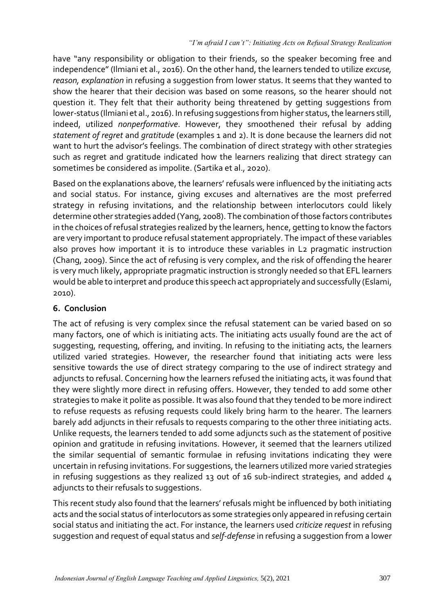have "any responsibility or obligation to their friends, so the speaker becoming free and independence" (Ilmiani et al., 2016). On the other hand, the learners tended to utilize *excuse, reason, explanation* in refusing a suggestion from lower status. It seems that they wanted to show the hearer that their decision was based on some reasons, so the hearer should not question it. They felt that their authority being threatened by getting suggestions from lower-status (Ilmiani et al., 2016). In refusing suggestions from higher status, the learners still, indeed, utilized *nonperformative*. However, they smoothened their refusal by adding *statement of regret* and *gratitude* (examples 1 and 2). It is done because the learners did not want to hurt the advisor's feelings. The combination of direct strategy with other strategies such as regret and gratitude indicated how the learners realizing that direct strategy can sometimes be considered as impolite. (Sartika et al., 2020).

Based on the explanations above, the learners' refusals were influenced by the initiating acts and social status. For instance, giving excuses and alternatives are the most preferred strategy in refusing invitations, and the relationship between interlocutors could likely determine other strategies added (Yang, 2008). The combination of those factors contributes in the choices of refusal strategies realized by the learners, hence, getting to know the factors are very important to produce refusal statement appropriately. The impact of these variables also proves how important it is to introduce these variables in L2 pragmatic instruction (Chang, 2009). Since the act of refusing is very complex, and the risk of offending the hearer is very much likely, appropriate pragmatic instruction is strongly needed so that EFL learners would be able to interpret and produce this speech act appropriately and successfully (Eslami, 2010).

## **6. Conclusion**

The act of refusing is very complex since the refusal statement can be varied based on so many factors, one of which is initiating acts. The initiating acts usually found are the act of suggesting, requesting, offering, and inviting. In refusing to the initiating acts, the learners utilized varied strategies. However, the researcher found that initiating acts were less sensitive towards the use of direct strategy comparing to the use of indirect strategy and adjuncts to refusal. Concerning how the learners refused the initiating acts, it was found that they were slightly more direct in refusing offers. However, they tended to add some other strategies to make it polite as possible. It was also found that they tended to be more indirect to refuse requests as refusing requests could likely bring harm to the hearer. The learners barely add adjuncts in their refusals to requests comparing to the other three initiating acts. Unlike requests, the learners tended to add some adjuncts such as the statement of positive opinion and gratitude in refusing invitations. However, it seemed that the learners utilized the similar sequential of semantic formulae in refusing invitations indicating they were uncertain in refusing invitations. For suggestions, the learners utilized more varied strategies in refusing suggestions as they realized 13 out of 16 sub-indirect strategies, and added 4 adjuncts to their refusals to suggestions.

This recent study also found that the learners' refusals might be influenced by both initiating acts and the social status of interlocutors as some strategies only appeared in refusing certain social status and initiating the act. For instance, the learners used *criticize request* in refusing suggestion and request of equal status and *self-defense* in refusing a suggestion from a lower